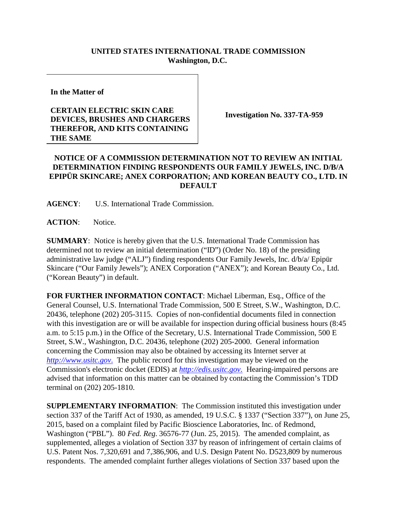## **UNITED STATES INTERNATIONAL TRADE COMMISSION Washington, D.C.**

**In the Matter of**

## **CERTAIN ELECTRIC SKIN CARE DEVICES, BRUSHES AND CHARGERS THEREFOR, AND KITS CONTAINING THE SAME**

**Investigation No. 337-TA-959**

## **NOTICE OF A COMMISSION DETERMINATION NOT TO REVIEW AN INITIAL DETERMINATION FINDING RESPONDENTS OUR FAMILY JEWELS, INC. D/B/A EPIPÜR SKINCARE; ANEX CORPORATION; AND KOREAN BEAUTY CO., LTD. IN DEFAULT**

**AGENCY**: U.S. International Trade Commission.

**ACTION**: Notice.

**SUMMARY**: Notice is hereby given that the U.S. International Trade Commission has determined not to review an initial determination ("ID") (Order No. 18) of the presiding administrative law judge ("ALJ") finding respondents Our Family Jewels, Inc. d/b/a/ Epipür Skincare ("Our Family Jewels"); ANEX Corporation ("ANEX"); and Korean Beauty Co., Ltd. ("Korean Beauty") in default.

**FOR FURTHER INFORMATION CONTACT**: Michael Liberman, Esq., Office of the General Counsel, U.S. International Trade Commission, 500 E Street, S.W., Washington, D.C. 20436, telephone (202) 205-3115. Copies of non-confidential documents filed in connection with this investigation are or will be available for inspection during official business hours (8:45 a.m. to 5:15 p.m.) in the Office of the Secretary, U.S. International Trade Commission, 500 E Street, S.W., Washington, D.C. 20436, telephone (202) 205-2000. General information concerning the Commission may also be obtained by accessing its Internet server at *[http://www.usitc.gov](http://www.usitc.gov./)*. The public record for this investigation may be viewed on the Commission's electronic docket (EDIS) at *[http://edis.usitc.gov](http://edis.usitc.gov./)*. Hearing-impaired persons are advised that information on this matter can be obtained by contacting the Commission's TDD terminal on (202) 205-1810.

**SUPPLEMENTARY INFORMATION**: The Commission instituted this investigation under section 337 of the Tariff Act of 1930, as amended, 19 U.S.C. § 1337 ("Section 337"), on June 25, 2015, based on a complaint filed by Pacific Bioscience Laboratories, Inc. of Redmond, Washington ("PBL"). 80 *Fed. Reg.* 36576-77 (Jun. 25, 2015). The amended complaint, as supplemented, alleges a violation of Section 337 by reason of infringement of certain claims of U.S. Patent Nos. 7,320,691 and 7,386,906, and U.S. Design Patent No. D523,809 by numerous respondents. The amended complaint further alleges violations of Section 337 based upon the